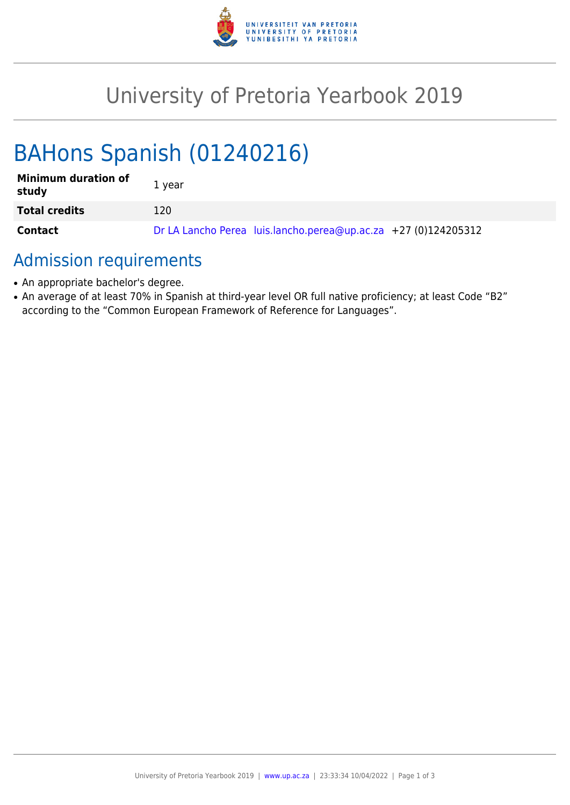

## University of Pretoria Yearbook 2019

# BAHons Spanish (01240216)

| <b>Minimum duration of</b><br>study | 1 year                                                         |
|-------------------------------------|----------------------------------------------------------------|
| <b>Total credits</b>                | 120                                                            |
| <b>Contact</b>                      | Dr LA Lancho Perea luis.lancho.perea@up.ac.za +27 (0)124205312 |

### Admission requirements

- An appropriate bachelor's degree.
- An average of at least 70% in Spanish at third-year level OR full native proficiency; at least Code "B2" according to the "Common European Framework of Reference for Languages".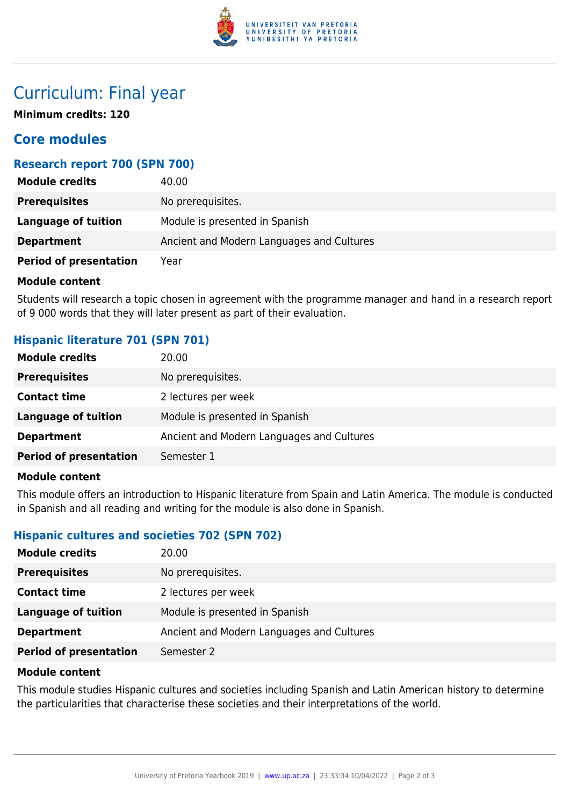

## Curriculum: Final year

**Minimum credits: 120**

#### **Core modules**

#### **Research report 700 (SPN 700)**

| <b>Module credits</b>         | 40.00                                     |
|-------------------------------|-------------------------------------------|
| <b>Prerequisites</b>          | No prerequisites.                         |
| Language of tuition           | Module is presented in Spanish            |
| <b>Department</b>             | Ancient and Modern Languages and Cultures |
| <b>Period of presentation</b> | Year                                      |

#### **Module content**

Students will research a topic chosen in agreement with the programme manager and hand in a research report of 9 000 words that they will later present as part of their evaluation.

#### **Hispanic literature 701 (SPN 701)**

| <b>Module credits</b>         | 20.00                                     |
|-------------------------------|-------------------------------------------|
| <b>Prerequisites</b>          | No prerequisites.                         |
| <b>Contact time</b>           | 2 lectures per week                       |
| <b>Language of tuition</b>    | Module is presented in Spanish            |
| <b>Department</b>             | Ancient and Modern Languages and Cultures |
| <b>Period of presentation</b> | Semester 1                                |
|                               |                                           |

#### **Module content**

This module offers an introduction to Hispanic literature from Spain and Latin America. The module is conducted in Spanish and all reading and writing for the module is also done in Spanish.

#### **Hispanic cultures and societies 702 (SPN 702)**

| <b>Module credits</b>         | 20.00                                     |
|-------------------------------|-------------------------------------------|
| <b>Prerequisites</b>          | No prerequisites.                         |
| <b>Contact time</b>           | 2 lectures per week                       |
| <b>Language of tuition</b>    | Module is presented in Spanish            |
| <b>Department</b>             | Ancient and Modern Languages and Cultures |
| <b>Period of presentation</b> | Semester 2                                |

#### **Module content**

This module studies Hispanic cultures and societies including Spanish and Latin American history to determine the particularities that characterise these societies and their interpretations of the world.